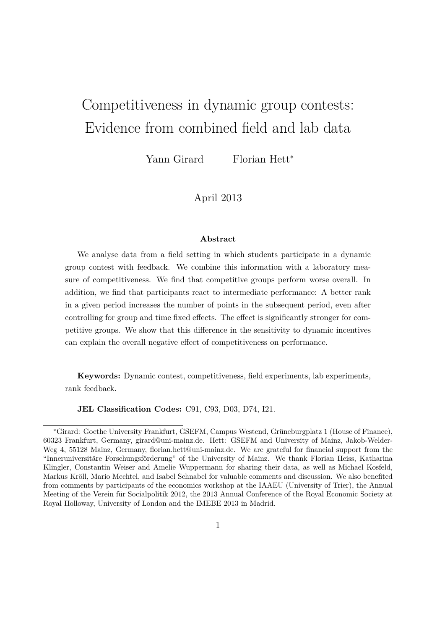# Competitiveness in dynamic group contests: Evidence from combined field and lab data

Yann Girard Florian Hett<sup>∗</sup>

April 2013

#### **Abstract**

We analyse data from a field setting in which students participate in a dynamic group contest with feedback. We combine this information with a laboratory measure of competitiveness. We find that competitive groups perform worse overall. In addition, we find that participants react to intermediate performance: A better rank in a given period increases the number of points in the subsequent period, even after controlling for group and time fixed effects. The effect is significantly stronger for competitive groups. We show that this difference in the sensitivity to dynamic incentives can explain the overall negative effect of competitiveness on performance.

**Keywords:** Dynamic contest, competitiveness, field experiments, lab experiments, rank feedback.

**JEL Classification Codes:** C91, C93, D03, D74, I21.

<sup>\*</sup>Girard: Goethe University Frankfurt, GSEFM, Campus Westend, Grüneburgplatz 1 (House of Finance), 60323 Frankfurt, Germany, girard@uni-mainz.de. Hett: GSEFM and University of Mainz, Jakob-Welder-Weg 4, 55128 Mainz, Germany, florian.hett@uni-mainz.de. We are grateful for financial support from the "Inneruniversitäre Forschungsförderung" of the University of Mainz. We thank Florian Heiss, Katharina Klingler, Constantin Weiser and Amelie Wuppermann for sharing their data, as well as Michael Kosfeld, Markus Kröll, Mario Mechtel, and Isabel Schnabel for valuable comments and discussion. We also benefited from comments by participants of the economics workshop at the IAAEU (University of Trier), the Annual Meeting of the Verein für Socialpolitik 2012, the 2013 Annual Conference of the Royal Economic Society at Royal Holloway, University of London and the IMEBE 2013 in Madrid.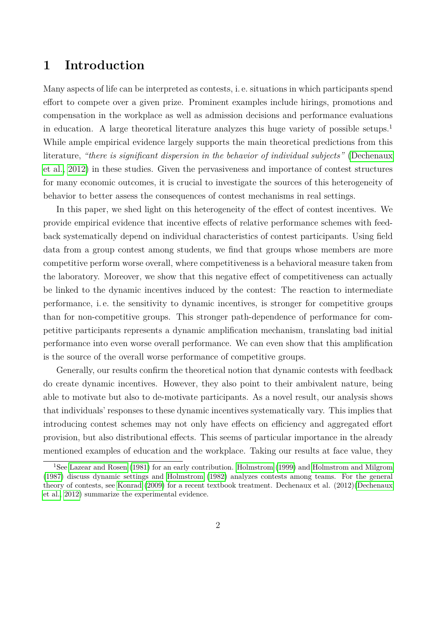### **1 Introduction**

Many aspects of life can be interpreted as contests, i. e. situations in which participants spend effort to compete over a given prize. Prominent examples include hirings, promotions and compensation in the workplace as well as admission decisions and performance evaluations in education. A large theoretical literature analyzes this huge variety of possible setups.<sup>1</sup> While ample empirical evidence largely supports the main theoretical predictions from this literature, *"there is significant dispersion in the behavior of individual subjects"* [\(Dechenaux](#page-26-0) [et al., 2012\)](#page-26-0) in these studies. Given the pervasiveness and importance of contest structures for many economic outcomes, it is crucial to investigate the sources of this heterogeneity of behavior to better assess the consequences of contest mechanisms in real settings.

In this paper, we shed light on this heterogeneity of the effect of contest incentives. We provide empirical evidence that incentive effects of relative performance schemes with feedback systematically depend on individual characteristics of contest participants. Using field data from a group contest among students, we find that groups whose members are more competitive perform worse overall, where competitiveness is a behavioral measure taken from the laboratory. Moreover, we show that this negative effect of competitiveness can actually be linked to the dynamic incentives induced by the contest: The reaction to intermediate performance, i. e. the sensitivity to dynamic incentives, is stronger for competitive groups than for non-competitive groups. This stronger path-dependence of performance for competitive participants represents a dynamic amplification mechanism, translating bad initial performance into even worse overall performance. We can even show that this amplification is the source of the overall worse performance of competitive groups.

Generally, our results confirm the theoretical notion that dynamic contests with feedback do create dynamic incentives. However, they also point to their ambivalent nature, being able to motivate but also to de-motivate participants. As a novel result, our analysis shows that individuals' responses to these dynamic incentives systematically vary. This implies that introducing contest schemes may not only have effects on efficiency and aggregated effort provision, but also distributional effects. This seems of particular importance in the already mentioned examples of education and the workplace. Taking our results at face value, they

<sup>&</sup>lt;sup>1</sup>See [Lazear and Rosen](#page-28-0) [\(1981\)](#page-28-0) for an early contribution. [Holmstrom](#page-27-0) [\(1999\)](#page-27-0) and [Holmstrom and Milgrom](#page-27-1) [\(1987\)](#page-27-1) discuss dynamic settings and [Holmstrom](#page-27-2) [\(1982\)](#page-27-2) analyzes contests among teams. For the general theory of contests, see [Konrad](#page-28-1) [\(2009\)](#page-28-1) for a recent textbook treatment. Dechenaux et al. (2012)[\(Dechenaux](#page-26-0) [et al., 2012\)](#page-26-0) summarize the experimental evidence.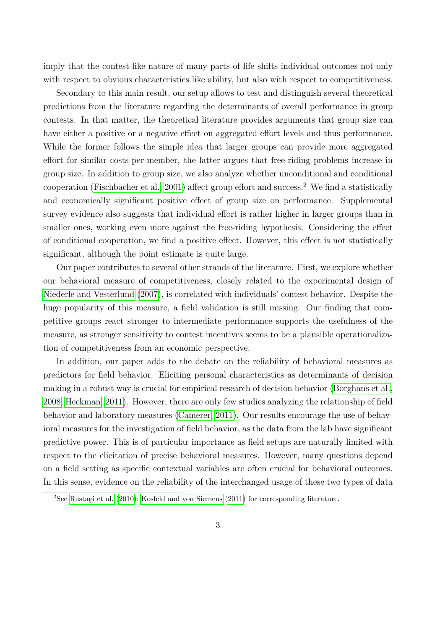imply that the contest-like nature of many parts of life shifts individual outcomes not only with respect to obvious characteristics like ability, but also with respect to competitiveness.

Secondary to this main result, our setup allows to test and distinguish several theoretical predictions from the literature regarding the determinants of overall performance in group contests. In that matter, the theoretical literature provides arguments that group size can have either a positive or a negative effect on aggregated effort levels and thus performance. While the former follows the simple idea that larger groups can provide more aggregated effort for similar costs-per-member, the latter argues that free-riding problems increase in group size. In addition to group size, we also analyze whether unconditional and conditional cooperation [\(Fischbacher et al., 2001\)](#page-27-3) affect group effort and success.<sup>2</sup> We find a statistically and economically significant positive effect of group size on performance. Supplemental survey evidence also suggests that individual effort is rather higher in larger groups than in smaller ones, working even more against the free-riding hypothesis. Considering the effect of conditional cooperation, we find a positive effect. However, this effect is not statistically significant, although the point estimate is quite large.

Our paper contributes to several other strands of the literature. First, we explore whether our behavioral measure of competitiveness, closely related to the experimental design of [Niederle and Vesterlund](#page-29-0) [\(2007\)](#page-29-0), is correlated with individuals' contest behavior. Despite the huge popularity of this measure, a field validation is still missing. Our finding that competitive groups react stronger to intermediate performance supports the usefulness of the measure, as stronger sensitivity to contest incentives seems to be a plausible operationalization of competitiveness from an economic perspective.

In addition, our paper adds to the debate on the reliability of behavioral measures as predictors for field behavior. Eliciting personal characteristics as determinants of decision making in a robust way is crucial for empirical research of decision behavior [\(Borghans et al.,](#page-26-1) [2008;](#page-26-1) [Heckman, 2011\)](#page-27-4). However, there are only few studies analyzing the relationship of field behavior and laboratory measures [\(Camerer, 2011\)](#page-26-2). Our results encourage the use of behavioral measures for the investigation of field behavior, as the data from the lab have significant predictive power. This is of particular importance as field setups are naturally limited with respect to the elicitation of precise behavioral measures. However, many questions depend on a field setting as specific contextual variables are often crucial for behavioral outcomes. In this sense, evidence on the reliability of the interchanged usage of these two types of data

<sup>2</sup>See [Rustagi et al.](#page-30-0) [\(2010\)](#page-30-0); [Kosfeld and von Siemens](#page-28-2) [\(2011\)](#page-28-2) for corresponding literature.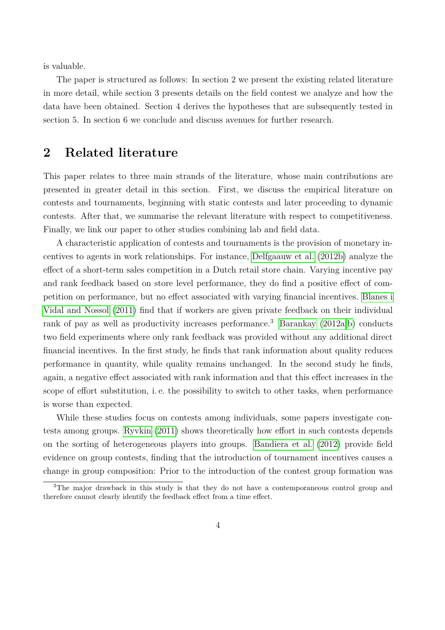is valuable.

The paper is structured as follows: In section 2 we present the existing related literature in more detail, while section 3 presents details on the field contest we analyze and how the data have been obtained. Section 4 derives the hypotheses that are subsequently tested in section 5. In section 6 we conclude and discuss avenues for further research.

### **2 Related literature**

This paper relates to three main strands of the literature, whose main contributions are presented in greater detail in this section. First, we discuss the empirical literature on contests and tournaments, beginning with static contests and later proceeding to dynamic contests. After that, we summarise the relevant literature with respect to competitiveness. Finally, we link our paper to other studies combining lab and field data.

A characteristic application of contests and tournaments is the provision of monetary incentives to agents in work relationships. For instance, [Delfgaauw et al.](#page-27-5) [\(2012b\)](#page-27-5) analyze the effect of a short-term sales competition in a Dutch retail store chain. Varying incentive pay and rank feedback based on store level performance, they do find a positive effect of competition on performance, but no effect associated with varying financial incentives. [Blanes i](#page-26-3) [Vidal and Nossol](#page-26-3) [\(2011\)](#page-26-3) find that if workers are given private feedback on their individual rank of pay as well as productivity increases performance.<sup>3</sup> [Barankay](#page-25-0)  $(2012a,b)$  $(2012a,b)$  conducts two field experiments where only rank feedback was provided without any additional direct financial incentives. In the first study, he finds that rank information about quality reduces performance in quantity, while quality remains unchanged. In the second study he finds, again, a negative effect associated with rank information and that this effect increases in the scope of effort substitution, i. e. the possibility to switch to other tasks, when performance is worse than expected.

While these studies focus on contests among individuals, some papers investigate contests among groups. [Ryvkin](#page-30-1) [\(2011\)](#page-30-1) shows theoretically how effort in such contests depends on the sorting of heterogeneous players into groups. [Bandiera et al.](#page-25-2) [\(2012\)](#page-25-2) provide field evidence on group contests, finding that the introduction of tournament incentives causes a change in group composition: Prior to the introduction of the contest group formation was

<sup>&</sup>lt;sup>3</sup>The major drawback in this study is that they do not have a contemporaneous control group and therefore cannot clearly identify the feedback effect from a time effect.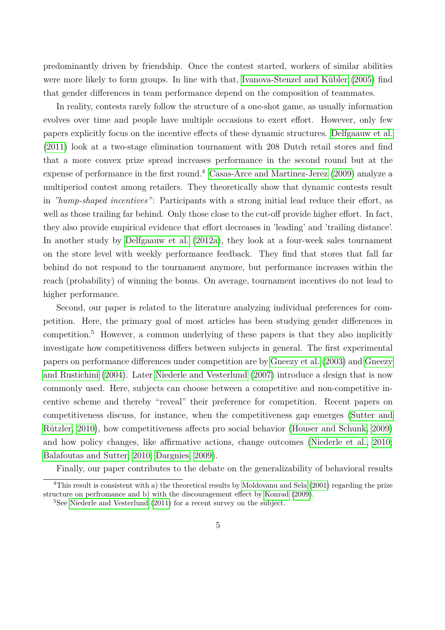predominantly driven by friendship. Once the contest started, workers of similar abilities were more likely to form groups. In line with that, Ivanova-Stenzel and Kübler  $(2005)$  find that gender differences in team performance depend on the composition of teammates.

In reality, contests rarely follow the structure of a one-shot game, as usually information evolves over time and people have multiple occasions to exert effort. However, only few papers explicitly focus on the incentive effects of these dynamic structures. [Delfgaauw et al.](#page-26-4) [\(2011\)](#page-26-4) look at a two-stage elimination tournament with 208 Dutch retail stores and find that a more convex prize spread increases performance in the second round but at the expense of performance in the first round.<sup>4</sup> [Casas-Arce and Martinez-Jerez](#page-26-5)  $(2009)$  analyze a multiperiod contest among retailers. They theoretically show that dynamic contests result in *"hump-shaped incentives"*: Participants with a strong initial lead reduce their effort, as well as those trailing far behind. Only those close to the cut-off provide higher effort. In fact, they also provide empirical evidence that effort decreases in 'leading' and 'trailing distance'. In another study by [Delfgaauw et al.](#page-26-6) [\(2012a\)](#page-26-6), they look at a four-week sales tournament on the store level with weekly performance feedback. They find that stores that fall far behind do not respond to the tournament anymore, but performance increases within the reach (probability) of winning the bonus. On average, tournament incentives do not lead to higher performance.

Second, our paper is related to the literature analyzing individual preferences for competition. Here, the primary goal of most articles has been studying gender differences in competition.<sup>5</sup> However, a common underlying of these papers is that they also implicitly investigate how competitiveness differs between subjects in general. The first experimental papers on performance differences under competition are by [Gneezy et al.](#page-27-6) [\(2003\)](#page-27-6) and [Gneezy](#page-27-7) [and Rustichini](#page-27-7) [\(2004\)](#page-27-7). Later [Niederle and Vesterlund](#page-29-0) [\(2007\)](#page-29-0) introduce a design that is now commonly used. Here, subjects can choose between a competitive and non-competitive incentive scheme and thereby "reveal" their preference for competition. Recent papers on competitiveness discuss, for instance, when the competitiveness gap emerges [\(Sutter and](#page-30-2) Rützler, 2010), how competitiveness affects pro social behavior [\(Houser and Schunk, 2009\)](#page-27-8) and how policy changes, like affirmative actions, change outcomes [\(Niederle et al., 2010;](#page-29-1) [Balafoutas and Sutter, 2010;](#page-25-3) [Dargnies, 2009\)](#page-26-7).

Finally, our paper contributes to the debate on the generalizability of behavioral results

<sup>&</sup>lt;sup>4</sup>This result is consistent with a) the theoretical results by [Moldovanu and Sela](#page-29-2) [\(2001\)](#page-29-2) regarding the prize structure on perfromance and b) with the discouragement effect by [Konrad](#page-28-1) [\(2009\)](#page-28-1).

<sup>5</sup>See [Niederle and Vesterlund](#page-29-3) [\(2011\)](#page-29-3) for a recent survey on the subject.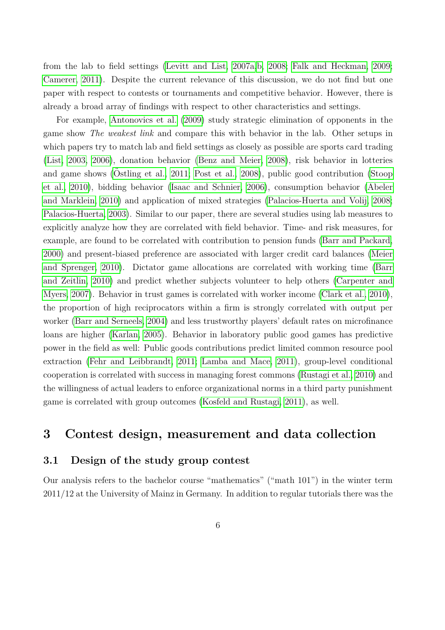from the lab to field settings [\(Levitt and List, 2007a,](#page-28-4)[b,](#page-28-5) [2008;](#page-28-6) [Falk and Heckman, 2009;](#page-27-9) [Camerer, 2011\)](#page-26-2). Despite the current relevance of this discussion, we do not find but one paper with respect to contests or tournaments and competitive behavior. However, there is already a broad array of findings with respect to other characteristics and settings.

For example, [Antonovics et al.](#page-25-4) [\(2009\)](#page-25-4) study strategic elimination of opponents in the game show *The weakest link* and compare this with behavior in the lab. Other setups in which papers try to match lab and field settings as closely as possible are sports card trading [\(List, 2003,](#page-29-4) [2006\)](#page-29-5), donation behavior [\(Benz and Meier, 2008\)](#page-26-8), risk behavior in lotteries and game shows (Ostling et al.,  $2011$ ; Post et al.,  $2008$ ), public good contribution [\(Stoop](#page-30-3) [et al., 2010\)](#page-30-3), bidding behavior [\(Isaac and Schnier, 2006\)](#page-27-10), consumption behavior [\(Abeler](#page-25-5) [and Marklein, 2010\)](#page-25-5) and application of mixed strategies [\(Palacios-Huerta and Volij, 2008;](#page-29-8) [Palacios-Huerta, 2003\)](#page-29-9). Similar to our paper, there are several studies using lab measures to explicitly analyze how they are correlated with field behavior. Time- and risk measures, for example, are found to be correlated with contribution to pension funds [\(Barr and Packard,](#page-25-6) [2000\)](#page-25-6) and present-biased preference are associated with larger credit card balances [\(Meier](#page-29-10) [and Sprenger, 2010\)](#page-29-10). Dictator game allocations are correlated with working time [\(Barr](#page-25-7) [and Zeitlin, 2010\)](#page-25-7) and predict whether subjects volunteer to help others [\(Carpenter and](#page-26-9) [Myers, 2007\)](#page-26-9). Behavior in trust games is correlated with worker income [\(Clark et al., 2010\)](#page-26-10), the proportion of high reciprocators within a firm is strongly correlated with output per worker [\(Barr and Serneels, 2004\)](#page-25-8) and less trustworthy players' default rates on microfinance loans are higher [\(Karlan, 2005\)](#page-28-7). Behavior in laboratory public good games has predictive power in the field as well: Public goods contributions predict limited common resource pool extraction [\(Fehr and Leibbrandt, 2011;](#page-27-11) [Lamba and Mace, 2011\)](#page-28-8), group-level conditional cooperation is correlated with success in managing forest commons [\(Rustagi et al., 2010\)](#page-30-0) and the willingness of actual leaders to enforce organizational norms in a third party punishment game is correlated with group outcomes [\(Kosfeld and Rustagi, 2011\)](#page-28-9), as well.

### **3 Contest design, measurement and data collection**

### **3.1 Design of the study group contest**

Our analysis refers to the bachelor course "mathematics" ("math 101") in the winter term 2011/12 at the University of Mainz in Germany. In addition to regular tutorials there was the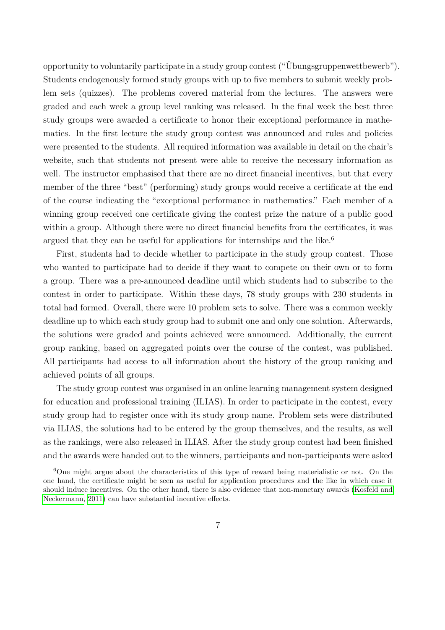opportunity to voluntarily participate in a study group contest  $($ "Ubungsgruppenwettbewerb"). Students endogenously formed study groups with up to five members to submit weekly problem sets (quizzes). The problems covered material from the lectures. The answers were graded and each week a group level ranking was released. In the final week the best three study groups were awarded a certificate to honor their exceptional performance in mathematics. In the first lecture the study group contest was announced and rules and policies were presented to the students. All required information was available in detail on the chair's website, such that students not present were able to receive the necessary information as well. The instructor emphasised that there are no direct financial incentives, but that every member of the three "best" (performing) study groups would receive a certificate at the end of the course indicating the "exceptional performance in mathematics." Each member of a winning group received one certificate giving the contest prize the nature of a public good within a group. Although there were no direct financial benefits from the certificates, it was argued that they can be useful for applications for internships and the like.<sup>6</sup>

First, students had to decide whether to participate in the study group contest. Those who wanted to participate had to decide if they want to compete on their own or to form a group. There was a pre-announced deadline until which students had to subscribe to the contest in order to participate. Within these days, 78 study groups with 230 students in total had formed. Overall, there were 10 problem sets to solve. There was a common weekly deadline up to which each study group had to submit one and only one solution. Afterwards, the solutions were graded and points achieved were announced. Additionally, the current group ranking, based on aggregated points over the course of the contest, was published. All participants had access to all information about the history of the group ranking and achieved points of all groups.

The study group contest was organised in an online learning management system designed for education and professional training (ILIAS). In order to participate in the contest, every study group had to register once with its study group name. Problem sets were distributed via ILIAS, the solutions had to be entered by the group themselves, and the results, as well as the rankings, were also released in ILIAS. After the study group contest had been finished and the awards were handed out to the winners, participants and non-participants were asked

<sup>&</sup>lt;sup>6</sup>One might argue about the characteristics of this type of reward being materialistic or not. On the one hand, the certificate might be seen as useful for application procedures and the like in which case it should induce incentives. On the other hand, there is also evidence that non-monetary awards [\(Kosfeld and](#page-28-10) [Neckermann, 2011\)](#page-28-10) can have substantial incentive effects.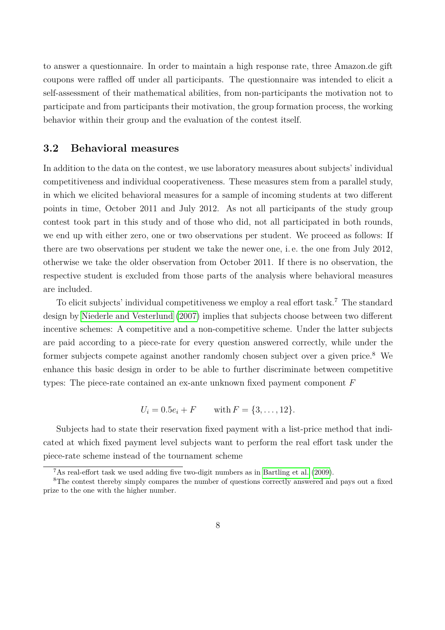to answer a questionnaire. In order to maintain a high response rate, three Amazon.de gift coupons were raffled off under all participants. The questionnaire was intended to elicit a self-assessment of their mathematical abilities, from non-participants the motivation not to participate and from participants their motivation, the group formation process, the working behavior within their group and the evaluation of the contest itself.

### **3.2 Behavioral measures**

In addition to the data on the contest, we use laboratory measures about subjects' individual competitiveness and individual cooperativeness. These measures stem from a parallel study, in which we elicited behavioral measures for a sample of incoming students at two different points in time, October 2011 and July 2012. As not all participants of the study group contest took part in this study and of those who did, not all participated in both rounds, we end up with either zero, one or two observations per student. We proceed as follows: If there are two observations per student we take the newer one, i. e. the one from July 2012, otherwise we take the older observation from October 2011. If there is no observation, the respective student is excluded from those parts of the analysis where behavioral measures are included.

To elicit subjects' individual competitiveness we employ a real effort task.<sup>7</sup> The standard design by [Niederle and Vesterlund](#page-29-0) [\(2007\)](#page-29-0) implies that subjects choose between two different incentive schemes: A competitive and a non-competitive scheme. Under the latter subjects are paid according to a piece-rate for every question answered correctly, while under the former subjects compete against another randomly chosen subject over a given price.<sup>8</sup> We enhance this basic design in order to be able to further discriminate between competitive types: The piece-rate contained an ex-ante unknown fixed payment component *F*

$$
U_i = 0.5e_i + F
$$
 with  $F = \{3, ..., 12\}.$ 

Subjects had to state their reservation fixed payment with a list-price method that indicated at which fixed payment level subjects want to perform the real effort task under the piece-rate scheme instead of the tournament scheme

<sup>7</sup>As real-effort task we used adding five two-digit numbers as in [Bartling et al.](#page-25-9) [\(2009\)](#page-25-9).

<sup>&</sup>lt;sup>8</sup>The contest thereby simply compares the number of questions correctly answered and pays out a fixed prize to the one with the higher number.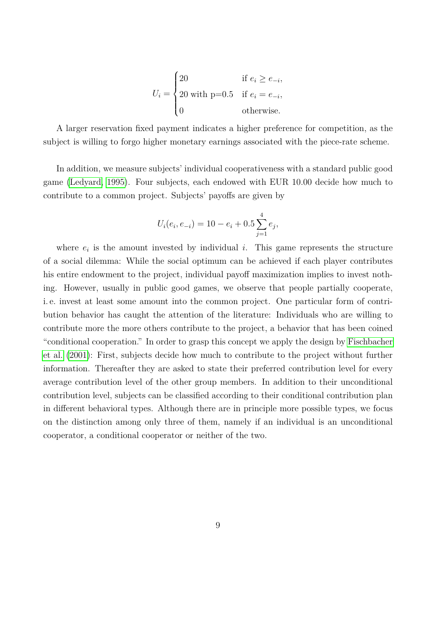$$
U_i = \begin{cases} 20 & \text{if } e_i \ge e_{-i}, \\ 20 \text{ with } p=0.5 & \text{if } e_i = e_{-i}, \\ 0 & \text{otherwise.} \end{cases}
$$

A larger reservation fixed payment indicates a higher preference for competition, as the subject is willing to forgo higher monetary earnings associated with the piece-rate scheme.

In addition, we measure subjects' individual cooperativeness with a standard public good game [\(Ledyard, 1995\)](#page-28-11). Four subjects, each endowed with EUR 10.00 decide how much to contribute to a common project. Subjects' payoffs are given by

$$
U_i(e_i, e_{-i}) = 10 - e_i + 0.5 \sum_{j=1}^4 e_j,
$$

where  $e_i$  is the amount invested by individual *i*. This game represents the structure of a social dilemma: While the social optimum can be achieved if each player contributes his entire endowment to the project, individual payoff maximization implies to invest nothing. However, usually in public good games, we observe that people partially cooperate, i. e. invest at least some amount into the common project. One particular form of contribution behavior has caught the attention of the literature: Individuals who are willing to contribute more the more others contribute to the project, a behavior that has been coined "conditional cooperation." In order to grasp this concept we apply the design by [Fischbacher](#page-27-3) [et al.](#page-27-3) [\(2001\)](#page-27-3): First, subjects decide how much to contribute to the project without further information. Thereafter they are asked to state their preferred contribution level for every average contribution level of the other group members. In addition to their unconditional contribution level, subjects can be classified according to their conditional contribution plan in different behavioral types. Although there are in principle more possible types, we focus on the distinction among only three of them, namely if an individual is an unconditional cooperator, a conditional cooperator or neither of the two.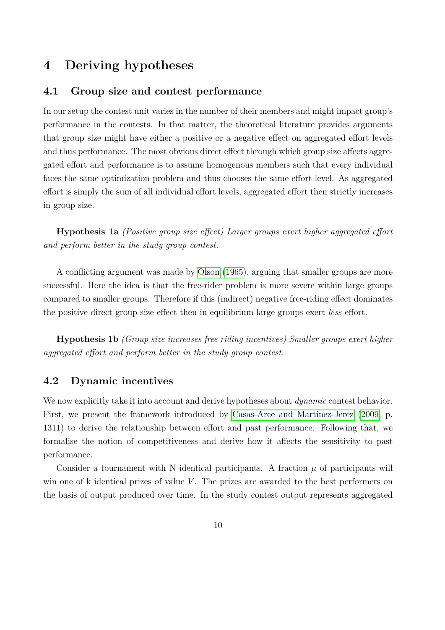# **4 Deriving hypotheses**

#### **4.1 Group size and contest performance**

In our setup the contest unit varies in the number of their members and might impact group's performance in the contests. In that matter, the theoretical literature provides arguments that group size might have either a positive or a negative effect on aggregated effort levels and thus performance. The most obvious direct effect through which group size affects aggregated effort and performance is to assume homogenous members such that every individual faces the same optimization problem and thus chooses the same effort level. As aggregated effort is simply the sum of all individual effort levels, aggregated effort then strictly increases in group size.

**Hypothesis 1a** *(Positive group size effect) Larger groups exert higher aggregated effort and perform better in the study group contest.*

A conflicting argument was made by [Olson](#page-29-11) [\(1965\)](#page-29-11), arguing that smaller groups are more successful. Here the idea is that the free-rider problem is more severe within large groups compared to smaller groups. Therefore if this (indirect) negative free-riding effect dominates the positive direct group size effect then in equilibrium large groups exert *less* effort.

**Hypothesis 1b** *(Group size increases free riding incentives) Smaller groups exert higher aggregated effort and perform better in the study group contest.*

### **4.2 Dynamic incentives**

We now explicitly take it into account and derive hypotheses about *dynamic* contest behavior. First, we present the framework introduced by [Casas-Arce and Martinez-Jerez](#page-26-5) [\(2009,](#page-26-5) p. 1311) to derive the relationship between effort and past performance. Following that, we formalise the notion of competitiveness and derive how it affects the sensitivity to past performance.

Consider a tournament with N identical participants. A fraction  $\mu$  of participants will win one of k identical prizes of value *V*. The prizes are awarded to the best performers on the basis of output produced over time. In the study contest output represents aggregated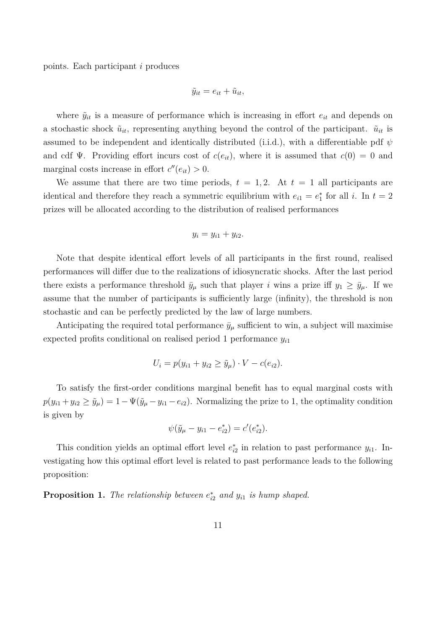points. Each participant *i* produces

$$
\tilde{y}_{it} = e_{it} + \tilde{u}_{it},
$$

where  $\tilde{y}_{it}$  is a measure of performance which is increasing in effort  $e_{it}$  and depends on a stochastic shock  $\tilde{u}_{it}$ , representing anything beyond the control of the participant.  $\tilde{u}_{it}$  is assumed to be independent and identically distributed (i.i.d.), with a differentiable pdf  $\psi$ and cdf  $\Psi$ . Providing effort incurs cost of  $c(e_{it})$ , where it is assumed that  $c(0) = 0$  and marginal costs increase in effort  $c''(e_{it}) > 0$ .

We assume that there are two time periods,  $t = 1, 2$ . At  $t = 1$  all participants are identical and therefore they reach a symmetric equilibrium with  $e_{i1} = e_1^*$  for all *i*. In  $t = 2$ prizes will be allocated according to the distribution of realised performances

$$
y_i = y_{i1} + y_{i2}.
$$

Note that despite identical effort levels of all participants in the first round, realised performances will differ due to the realizations of idiosyncratic shocks. After the last period there exists a performance threshold  $\bar{y}_{\mu}$  such that player *i* wins a prize iff  $y_1 \geq \bar{y}_{\mu}$ . If we assume that the number of participants is sufficiently large (infinity), the threshold is non stochastic and can be perfectly predicted by the law of large numbers.

Anticipating the required total performance  $\bar{y}_\mu$  sufficient to win, a subject will maximise expected profits conditional on realised period 1 performance *y<sup>i</sup>*<sup>1</sup>

$$
U_i = p(y_{i1} + y_{i2} \ge \tilde{y}_{\mu}) \cdot V - c(e_{i2}).
$$

To satisfy the first-order conditions marginal benefit has to equal marginal costs with  $p(y_{i1} + y_{i2} \ge \tilde{y}_\mu) = 1 - \Psi(\tilde{y}_\mu - y_{i1} - e_{i2}).$  Normalizing the prize to 1, the optimality condition is given by

$$
\psi(\tilde{y}_{\mu} - y_{i1} - e_{i2}^*) = c'(e_{i2}^*).
$$

This condition yields an optimal effort level  $e_{i2}^*$  in relation to past performance  $y_{i1}$ . Investigating how this optimal effort level is related to past performance leads to the following proposition:

<span id="page-10-0"></span>**Proposition 1.** *The relationship between*  $e_{i2}^*$  *and*  $y_{i1}$  *is hump shaped.*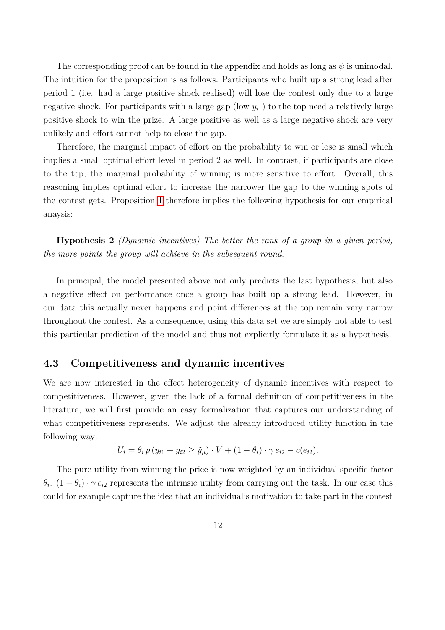The corresponding proof can be found in the appendix and holds as long as *ψ* is unimodal. The intuition for the proposition is as follows: Participants who built up a strong lead after period 1 (i.e. had a large positive shock realised) will lose the contest only due to a large negative shock. For participants with a large gap (low  $y_{i1}$ ) to the top need a relatively large positive shock to win the prize. A large positive as well as a large negative shock are very unlikely and effort cannot help to close the gap.

Therefore, the marginal impact of effort on the probability to win or lose is small which implies a small optimal effort level in period 2 as well. In contrast, if participants are close to the top, the marginal probability of winning is more sensitive to effort. Overall, this reasoning implies optimal effort to increase the narrower the gap to the winning spots of the contest gets. Proposition [1](#page-10-0) therefore implies the following hypothesis for our empirical anaysis:

**Hypothesis 2** *(Dynamic incentives) The better the rank of a group in a given period, the more points the group will achieve in the subsequent round.*

In principal, the model presented above not only predicts the last hypothesis, but also a negative effect on performance once a group has built up a strong lead. However, in our data this actually never happens and point differences at the top remain very narrow throughout the contest. As a consequence, using this data set we are simply not able to test this particular prediction of the model and thus not explicitly formulate it as a hypothesis.

#### **4.3 Competitiveness and dynamic incentives**

We are now interested in the effect heterogeneity of dynamic incentives with respect to competitiveness. However, given the lack of a formal definition of competitiveness in the literature, we will first provide an easy formalization that captures our understanding of what competitiveness represents. We adjust the already introduced utility function in the following way:

$$
U_i = \theta_i p (y_{i1} + y_{i2} \ge \tilde{y}_{\mu}) \cdot V + (1 - \theta_i) \cdot \gamma e_{i2} - c(e_{i2}).
$$

The pure utility from winning the price is now weighted by an individual specific factor  $\theta_i$ .  $(1 - \theta_i) \cdot \gamma e_{i2}$  represents the intrinsic utility from carrying out the task. In our case this could for example capture the idea that an individual's motivation to take part in the contest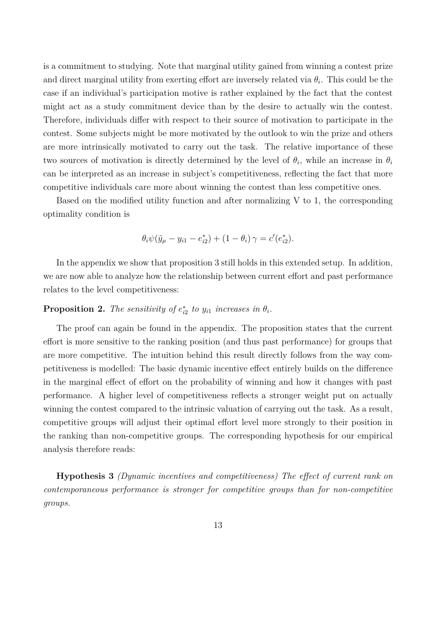is a commitment to studying. Note that marginal utility gained from winning a contest prize and direct marginal utility from exerting effort are inversely related via  $\theta_i$ . This could be the case if an individual's participation motive is rather explained by the fact that the contest might act as a study commitment device than by the desire to actually win the contest. Therefore, individuals differ with respect to their source of motivation to participate in the contest. Some subjects might be more motivated by the outlook to win the prize and others are more intrinsically motivated to carry out the task. The relative importance of these two sources of motivation is directly determined by the level of  $\theta_i$ , while an increase in  $\theta_i$ can be interpreted as an increase in subject's competitiveness, reflecting the fact that more competitive individuals care more about winning the contest than less competitive ones.

Based on the modified utility function and after normalizing V to 1, the corresponding optimality condition is

$$
\theta_i \psi(\tilde{y}_{\mu} - y_{i1} - e_{i2}^*) + (1 - \theta_i) \gamma = c'(e_{i2}^*).
$$

In the appendix we show that proposition 3 still holds in this extended setup. In addition, we are now able to analyze how the relationship between current effort and past performance relates to the level competitiveness:

### **Proposition 2.** The sensitivity of  $e_{i2}^*$  to  $y_{i1}$  increases in  $\theta_i$ .

The proof can again be found in the appendix. The proposition states that the current effort is more sensitive to the ranking position (and thus past performance) for groups that are more competitive. The intuition behind this result directly follows from the way competitiveness is modelled: The basic dynamic incentive effect entirely builds on the difference in the marginal effect of effort on the probability of winning and how it changes with past performance. A higher level of competitiveness reflects a stronger weight put on actually winning the contest compared to the intrinsic valuation of carrying out the task. As a result, competitive groups will adjust their optimal effort level more strongly to their position in the ranking than non-competitive groups. The corresponding hypothesis for our empirical analysis therefore reads:

**Hypothesis 3** *(Dynamic incentives and competitiveness) The effect of current rank on contemporaneous performance is stronger for competitive groups than for non-competitive groups.*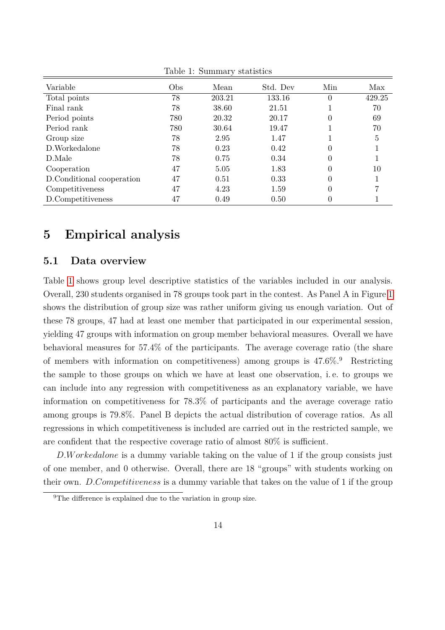| Variable                  | Obs. | Mean   | Std. Dev | Min      | Max    |
|---------------------------|------|--------|----------|----------|--------|
| Total points              | 78   | 203.21 | 133.16   | $\theta$ | 429.25 |
| Final rank                | 78   | 38.60  | 21.51    |          | 70     |
| Period points             | 780  | 20.32  | 20.17    | 0        | 69     |
| Period rank               | 780  | 30.64  | 19.47    |          | 70     |
| Group size                | 78   | 2.95   | 1.47     |          | 5      |
| D.Workedalone             | 78   | 0.23   | 0.42     | 0        |        |
| D.Male                    | 78   | 0.75   | 0.34     |          |        |
| Cooperation               | 47   | 5.05   | 1.83     |          | 10     |
| D.Conditional cooperation | 47   | 0.51   | 0.33     |          |        |
| Competitiveness           | 47   | 4.23   | 1.59     | $\theta$ |        |
| D.Competitiveness         | 47   | 0.49   | 0.50     | 0        |        |

<span id="page-13-0"></span>Table 1: Summary statistics

### **5 Empirical analysis**

### **5.1 Data overview**

Table [1](#page-13-0) shows group level descriptive statistics of the variables included in our analysis. Overall, 230 students organised in 78 groups took part in the contest. As Panel A in Figure [1](#page-14-0) shows the distribution of group size was rather uniform giving us enough variation. Out of these 78 groups, 47 had at least one member that participated in our experimental session, yielding 47 groups with information on group member behavioral measures. Overall we have behavioral measures for 57*.*4% of the participants. The average coverage ratio (the share of members with information on competitiveness) among groups is 47*.*6%.<sup>9</sup> Restricting the sample to those groups on which we have at least one observation, i. e. to groups we can include into any regression with competitiveness as an explanatory variable, we have information on competitiveness for 78*.*3% of participants and the average coverage ratio among groups is 79*.*8%. Panel B depicts the actual distribution of coverage ratios. As all regressions in which competitiveness is included are carried out in the restricted sample, we are confident that the respective coverage ratio of almost 80% is sufficient.

*D.W orkedalone* is a dummy variable taking on the value of 1 if the group consists just of one member, and 0 otherwise. Overall, there are 18 "groups" with students working on their own. *D.Competitiveness* is a dummy variable that takes on the value of 1 if the group

<sup>&</sup>lt;sup>9</sup>The difference is explained due to the variation in group size.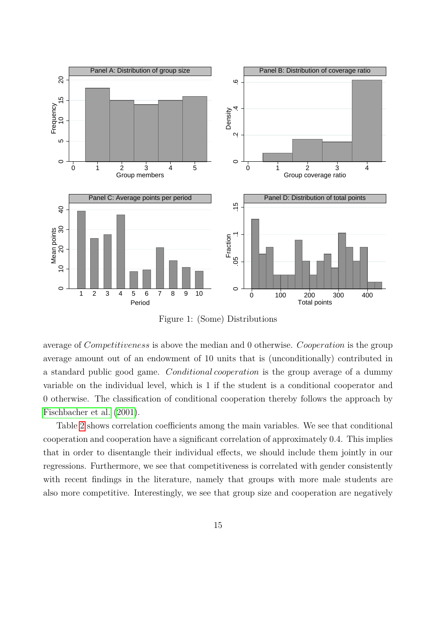

<span id="page-14-0"></span>Figure 1: (Some) Distributions

average of *Competitiveness* is above the median and 0 otherwise. *Cooperation* is the group average amount out of an endowment of 10 units that is (unconditionally) contributed in a standard public good game. *Conditional cooperation* is the group average of a dummy variable on the individual level, which is 1 if the student is a conditional cooperator and 0 otherwise. The classification of conditional cooperation thereby follows the approach by [Fischbacher et al.](#page-27-3) [\(2001\)](#page-27-3).

Table [2](#page-15-0) shows correlation coefficients among the main variables. We see that conditional cooperation and cooperation have a significant correlation of approximately 0.4. This implies that in order to disentangle their individual effects, we should include them jointly in our regressions. Furthermore, we see that competitiveness is correlated with gender consistently with recent findings in the literature, namely that groups with more male students are also more competitive. Interestingly, we see that group size and cooperation are negatively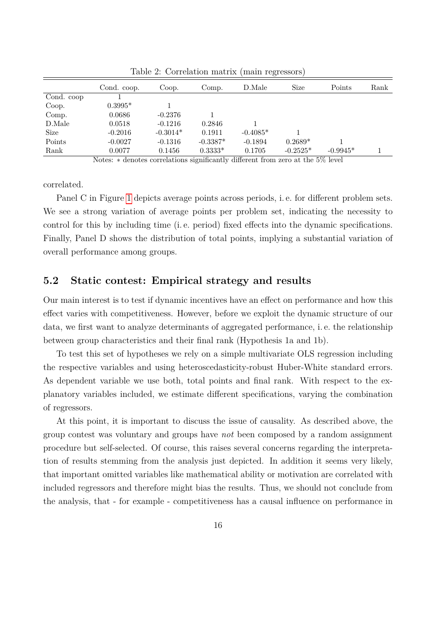|            | Cond. coop.                                            | Coop.        | Comp.      | D.Male                                       | Size       | Points     | Rank |
|------------|--------------------------------------------------------|--------------|------------|----------------------------------------------|------------|------------|------|
| Cond. coop |                                                        |              |            |                                              |            |            |      |
| Coop.      | $0.3995*$                                              |              |            |                                              |            |            |      |
| Comp.      | 0.0686                                                 | $-0.2376$    |            |                                              |            |            |      |
| D.Male     | 0.0518                                                 | $-0.1216$    | 0.2846     |                                              |            |            |      |
| Size       | $-0.2016$                                              | $-0.3014*$   | 0.1911     | $-0.4085*$                                   |            |            |      |
| Points     | $-0.0027$                                              | $-0.1316$    | $-0.3387*$ | $-0.1894$                                    | $0.2689*$  |            |      |
| Rank       | 0.0077                                                 | 0.1456       | $0.3333*$  | 0.1705                                       | $-0.2525*$ | $-0.9945*$ |      |
|            | $\mathbf{A}$ $\mathbf{A}$<br>$\mathbf{1}$ $\mathbf{1}$ | $\mathbf{1}$ |            | $1 \cdot \alpha$<br>$\overline{\phantom{a}}$ | . 1        | $-M1$ 1    |      |

<span id="page-15-0"></span>Table 2: Correlation matrix (main regressors)

Notes: ∗ denotes correlations significantly different from zero at the 5% level

correlated.

Panel C in Figure [1](#page-14-0) depicts average points across periods, i. e. for different problem sets. We see a strong variation of average points per problem set, indicating the necessity to control for this by including time (i. e. period) fixed effects into the dynamic specifications. Finally, Panel D shows the distribution of total points, implying a substantial variation of overall performance among groups.

#### **5.2 Static contest: Empirical strategy and results**

Our main interest is to test if dynamic incentives have an effect on performance and how this effect varies with competitiveness. However, before we exploit the dynamic structure of our data, we first want to analyze determinants of aggregated performance, i. e. the relationship between group characteristics and their final rank (Hypothesis 1a and 1b).

To test this set of hypotheses we rely on a simple multivariate OLS regression including the respective variables and using heteroscedasticity-robust Huber-White standard errors. As dependent variable we use both, total points and final rank. With respect to the explanatory variables included, we estimate different specifications, varying the combination of regressors.

At this point, it is important to discuss the issue of causality. As described above, the group contest was voluntary and groups have *not* been composed by a random assignment procedure but self-selected. Of course, this raises several concerns regarding the interpretation of results stemming from the analysis just depicted. In addition it seems very likely, that important omitted variables like mathematical ability or motivation are correlated with included regressors and therefore might bias the results. Thus, we should not conclude from the analysis, that - for example - competitiveness has a causal influence on performance in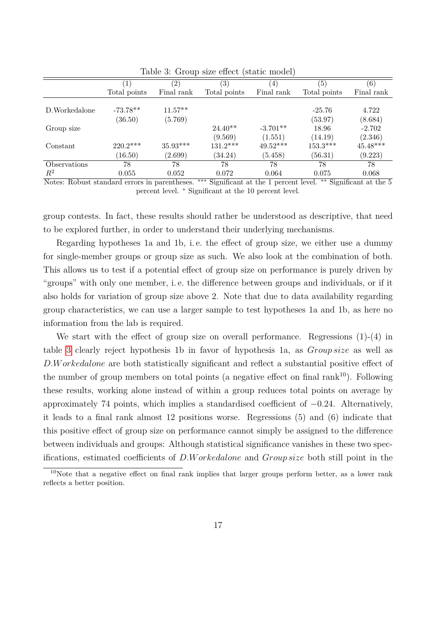|                                           | $\left  \right $ | $^{\prime}2)$ | $\left( 3\right)$ | $\left( 4\right)$ | (5)                                                | $\left( 6\right)$ |
|-------------------------------------------|------------------|---------------|-------------------|-------------------|----------------------------------------------------|-------------------|
|                                           | Total points     | Final rank    | Total points      | Final rank        | Total points                                       | Final rank        |
|                                           |                  |               |                   |                   |                                                    |                   |
| D.Workedalone                             | $-73.78**$       | $11.57**$     |                   |                   | $-25.76$                                           | 4.722             |
|                                           | (36.50)          | (5.769)       |                   |                   | (53.97)                                            | (8.684)           |
| Group size                                |                  |               | $24.40**$         | $-3.701**$        | 18.96                                              | $-2.702$          |
|                                           |                  |               | (9.569)           | (1.551)           | (14.19)                                            | (2.346)           |
| Constant                                  | $220.2***$       | $35.93***$    | $131.2***$        | $49.52***$        | $153.3***$                                         | $45.48***$        |
|                                           | (16.50)          | (2.699)       | (34.24)           | (5.458)           | (56.31)                                            | (9.223)           |
| Observations                              | 78               | 78            | 78                | 78                | 78                                                 | 78                |
| $R^2$                                     | 0.055            | 0.052         | 0.072             | 0.064             | 0.075                                              | 0.068             |
| $\overline{\phantom{a}}$<br>$\sim$ $\sim$ |                  |               |                   |                   | $\cdot$ $\cdot$ $\sim$<br>$\overline{\phantom{a}}$ |                   |

<span id="page-16-0"></span>Table 3: Group size effect (static model)

Notes: Robust standard errors in parentheses. ∗∗∗ Significant at the 1 percent level. ∗∗ Significant at the 5 percent level. <sup>∗</sup> Significant at the 10 percent level.

group contests. In fact, these results should rather be understood as descriptive, that need to be explored further, in order to understand their underlying mechanisms.

Regarding hypotheses 1a and 1b, i.e. the effect of group size, we either use a dummy for single-member groups or group size as such. We also look at the combination of both. This allows us to test if a potential effect of group size on performance is purely driven by "groups" with only one member, i. e. the difference between groups and individuals, or if it also holds for variation of group size above 2. Note that due to data availability regarding group characteristics, we can use a larger sample to test hypotheses 1a and 1b, as here no information from the lab is required.

We start with the effect of group size on overall performance. Regressions (1)-(4) in table [3](#page-16-0) clearly reject hypothesis 1b in favor of hypothesis 1a, as *Group size* as well as *D.W orkedalone* are both statistically significant and reflect a substantial positive effect of the number of group members on total points (a negative effect on final rank<sup>10</sup>). Following these results, working alone instead of within a group reduces total points on average by approximately 74 points, which implies a standardised coefficient of −0*.*24. Alternatively, it leads to a final rank almost 12 positions worse. Regressions (5) and (6) indicate that this positive effect of group size on performance cannot simply be assigned to the difference between individuals and groups: Although statistical significance vanishes in these two specifications, estimated coefficients of *D.W orkedalone* and *Group size* both still point in the

<sup>&</sup>lt;sup>10</sup>Note that a negative effect on final rank implies that larger groups perform better, as a lower rank reflects a better position.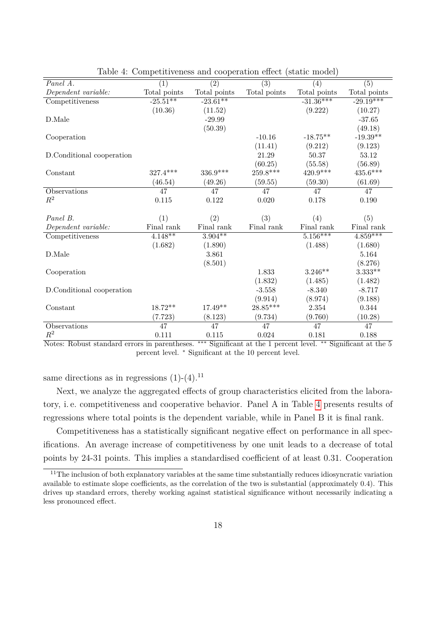| Panel A.                  | $\overline{(1)}$ | T.<br>$\overline{(2)}$ | $\overline{(3)}$       | (4)          | $\overline{(5)}$ |
|---------------------------|------------------|------------------------|------------------------|--------------|------------------|
| Dependent variable:       | Total points     | Total points           | Total points           | Total points | Total points     |
| Competitiveness           | $-25.51**$       | $-23.61**$             |                        | $-31.36***$  | $-29.19***$      |
|                           | (10.36)          | (11.52)                |                        | (9.222)      | (10.27)          |
| D.Male                    |                  | $-29.99$               |                        |              | $-37.65$         |
|                           |                  | (50.39)                |                        |              | (49.18)          |
| Cooperation               |                  |                        | $-10.16$               | $-18.75**$   | $-19.39**$       |
|                           |                  |                        | (11.41)                | (9.212)      | (9.123)          |
| D.Conditional cooperation |                  |                        | 21.29                  | 50.37        | 53.12            |
|                           |                  |                        | (60.25)                | (55.58)      | (56.89)          |
| Constant                  | 327.4***         | 336.9***               | $259.8^{\ast\ast\ast}$ | $420.9***$   | $435.6***$       |
|                           | (46.54)          | (49.26)                | (59.55)                | (59.30)      | (61.69)          |
| Observations              | 47               | 47                     | 47                     | 47           | 47               |
| $R^2$                     | 0.115            | 0.122                  | 0.020                  | 0.178        | 0.190            |
|                           |                  |                        |                        |              |                  |
| Panel B.                  | (1)              | (2)                    | (3)                    | (4)          | (5)              |
| Dependent variable:       | Final rank       | Final rank             | Final rank             | Final rank   | Final rank       |
| Competitiveness           | $4.148**$        | $3.904***$             |                        | $5.156***$   | $4.859***$       |
|                           | (1.682)          | (1.890)                |                        | (1.488)      | (1.680)          |
| D.Male                    |                  | 3.861                  |                        |              | 5.164            |
|                           |                  | (8.501)                |                        |              | (8.276)          |
| Cooperation               |                  |                        | 1.833                  | $3.246**$    | $3.333**$        |
|                           |                  |                        | (1.832)                | (1.485)      | (1.482)          |
| D.Conditional cooperation |                  |                        | $-3.558$               | $-8.340$     | $-8.717$         |
|                           |                  |                        | (9.914)                | (8.974)      | (9.188)          |
| Constant                  | 18.72**          | $17.49**$              | $28.85***$             | 2.354        | 0.344            |
|                           | (7.723)          | (8.123)                | (9.734)                | (9.760)      | (10.28)          |
| Observations              | 47               | 47                     | $\overline{47}$        | 47           | 47               |
| $\mathbb{R}^2$            | 0.111            | 0.115                  | 0.024                  | 0.181        | 0.188            |

<span id="page-17-0"></span>Table 4: Competitiveness and cooperation effect (static model)

Notes: Robust standard errors in parentheses. ∗∗∗ Significant at the 1 percent level. ∗∗ Significant at the 5 percent level. <sup>∗</sup> Significant at the 10 percent level.

same directions as in regressions  $(1)-(4)$ <sup>11</sup>

Next, we analyze the aggregated effects of group characteristics elicited from the laboratory, i. e. competitiveness and cooperative behavior. Panel A in Table [4](#page-17-0) presents results of regressions where total points is the dependent variable, while in Panel B it is final rank.

Competitiveness has a statistically significant negative effect on performance in all specifications. An average increase of competitiveness by one unit leads to a decrease of total points by 24-31 points. This implies a standardised coefficient of at least 0*.*31. Cooperation

 $11$ The inclusion of both explanatory variables at the same time substantially reduces idiosyncratic variation available to estimate slope coefficients, as the correlation of the two is substantial (approximately 0.4). This drives up standard errors, thereby working against statistical significance without necessarily indicating a less pronounced effect.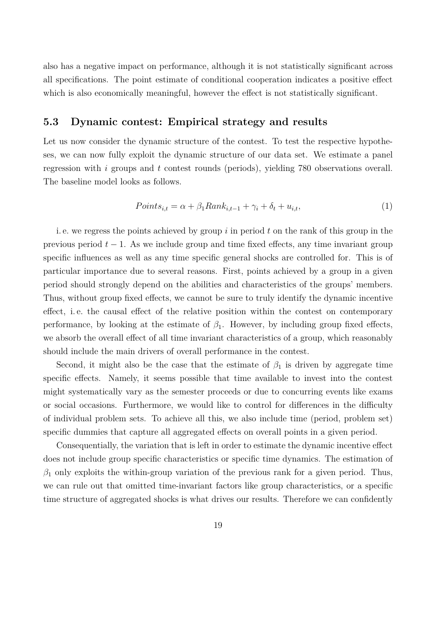also has a negative impact on performance, although it is not statistically significant across all specifications. The point estimate of conditional cooperation indicates a positive effect which is also economically meaningful, however the effect is not statistically significant.

#### **5.3 Dynamic contest: Empirical strategy and results**

Let us now consider the dynamic structure of the contest. To test the respective hypotheses, we can now fully exploit the dynamic structure of our data set. We estimate a panel regression with *i* groups and *t* contest rounds (periods), yielding 780 observations overall. The baseline model looks as follows.

$$
Points_{i,t} = \alpha + \beta_1 Rank_{i,t-1} + \gamma_i + \delta_t + u_{i,t},
$$
\n<sup>(1)</sup>

i. e. we regress the points achieved by group *i* in period *t* on the rank of this group in the previous period  $t - 1$ . As we include group and time fixed effects, any time invariant group specific influences as well as any time specific general shocks are controlled for. This is of particular importance due to several reasons. First, points achieved by a group in a given period should strongly depend on the abilities and characteristics of the groups' members. Thus, without group fixed effects, we cannot be sure to truly identify the dynamic incentive effect, i.e. the causal effect of the relative position within the contest on contemporary performance, by looking at the estimate of  $\beta_1$ . However, by including group fixed effects, we absorb the overall effect of all time invariant characteristics of a group, which reasonably should include the main drivers of overall performance in the contest.

Second, it might also be the case that the estimate of  $\beta_1$  is driven by aggregate time specific effects. Namely, it seems possible that time available to invest into the contest might systematically vary as the semester proceeds or due to concurring events like exams or social occasions. Furthermore, we would like to control for differences in the difficulty of individual problem sets. To achieve all this, we also include time (period, problem set) specific dummies that capture all aggregated effects on overall points in a given period.

Consequentially, the variation that is left in order to estimate the dynamic incentive effect does not include group specific characteristics or specific time dynamics. The estimation of  $\beta_1$  only exploits the within-group variation of the previous rank for a given period. Thus, we can rule out that omitted time-invariant factors like group characteristics, or a specific time structure of aggregated shocks is what drives our results. Therefore we can confidently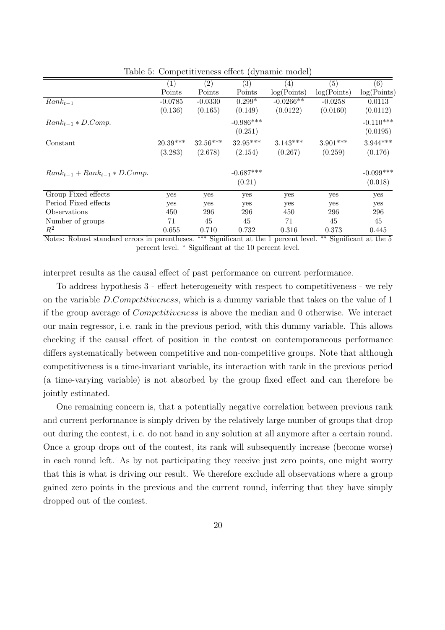|                                      | (1)        | (2)        | (3)         | (4)         | (5)         | (6)         |
|--------------------------------------|------------|------------|-------------|-------------|-------------|-------------|
|                                      | Points     | Points     | Points      | log(Points) | log(Points) | log(Points) |
| $Rank_{t-1}$                         | $-0.0785$  | $-0.0330$  | $0.299*$    | $-0.0266**$ | $-0.0258$   | 0.0113      |
|                                      | (0.136)    | (0.165)    | (0.149)     | (0.0122)    | (0.0160)    | (0.0112)    |
| $Rank_{t-1} * D. Comp.$              |            |            | $-0.986***$ |             |             | $-0.110***$ |
|                                      |            |            | (0.251)     |             |             | (0.0195)    |
| Constant                             | $20.39***$ | $32.56***$ | $32.95***$  | $3.143***$  | $3.901***$  | $3.944***$  |
|                                      | (3.283)    | (2.678)    | (2.154)     | (0.267)     | (0.259)     | (0.176)     |
| $Rank_{t-1} + Rank_{t-1} * D. Comp.$ |            |            | $-0.687***$ |             |             | $-0.099***$ |
|                                      |            |            | (0.21)      |             |             | (0.018)     |
| Group Fixed effects                  | yes        | yes        | yes         | yes         | yes         | yes         |
| Period Fixed effects                 | yes        | yes        | yes         | yes         | yes         | yes         |
| Observations                         | 450        | 296        | 296         | 450         | 296         | 296         |
| Number of groups                     | 71         | 45         | 45          | 71          | 45          | 45          |
| $R^2$                                | 0.655      | 0.710      | 0.732       | 0.316       | 0.373       | 0.445       |

<span id="page-19-0"></span>Table 5: Competitiveness effect (dynamic model)

Notes: Robust standard errors in parentheses. ∗∗∗ Significant at the 1 percent level. ∗∗ Significant at the 5 percent level. <sup>∗</sup> Significant at the 10 percent level.

interpret results as the causal effect of past performance on current performance.

To address hypothesis 3 - effect heterogeneity with respect to competitiveness - we rely on the variable *D.Competitiveness*, which is a dummy variable that takes on the value of 1 if the group average of *Competitiveness* is above the median and 0 otherwise. We interact our main regressor, i. e. rank in the previous period, with this dummy variable. This allows checking if the causal effect of position in the contest on contemporaneous performance differs systematically between competitive and non-competitive groups. Note that although competitiveness is a time-invariant variable, its interaction with rank in the previous period (a time-varying variable) is not absorbed by the group fixed effect and can therefore be jointly estimated.

One remaining concern is, that a potentially negative correlation between previous rank and current performance is simply driven by the relatively large number of groups that drop out during the contest, i. e. do not hand in any solution at all anymore after a certain round. Once a group drops out of the contest, its rank will subsequently increase (become worse) in each round left. As by not participating they receive just zero points, one might worry that this is what is driving our result. We therefore exclude all observations where a group gained zero points in the previous and the current round, inferring that they have simply dropped out of the contest.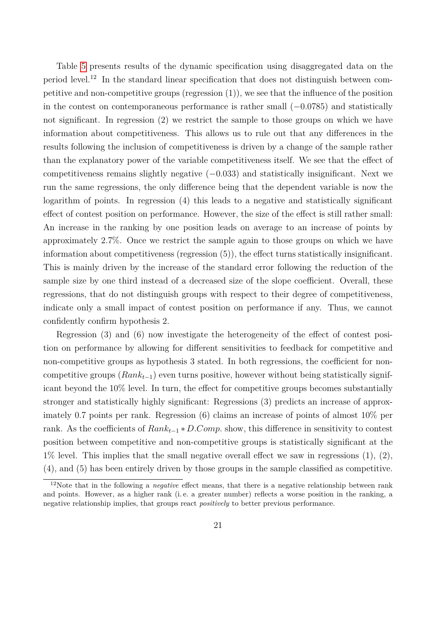Table [5](#page-19-0) presents results of the dynamic specification using disaggregated data on the period level.<sup>12</sup> In the standard linear specification that does not distinguish between competitive and non-competitive groups (regression (1)), we see that the influence of the position in the contest on contemporaneous performance is rather small (−0*.*0785) and statistically not significant. In regression (2) we restrict the sample to those groups on which we have information about competitiveness. This allows us to rule out that any differences in the results following the inclusion of competitiveness is driven by a change of the sample rather than the explanatory power of the variable competitiveness itself. We see that the effect of competitiveness remains slightly negative (−0*.*033) and statistically insignificant. Next we run the same regressions, the only difference being that the dependent variable is now the logarithm of points. In regression (4) this leads to a negative and statistically significant effect of contest position on performance. However, the size of the effect is still rather small: An increase in the ranking by one position leads on average to an increase of points by approximately 2*.*7%. Once we restrict the sample again to those groups on which we have information about competitiveness (regression (5)), the effect turns statistically insignificant. This is mainly driven by the increase of the standard error following the reduction of the sample size by one third instead of a decreased size of the slope coefficient. Overall, these regressions, that do not distinguish groups with respect to their degree of competitiveness, indicate only a small impact of contest position on performance if any. Thus, we cannot confidently confirm hypothesis 2.

Regression (3) and (6) now investigate the heterogeneity of the effect of contest position on performance by allowing for different sensitivities to feedback for competitive and non-competitive groups as hypothesis 3 stated. In both regressions, the coefficient for noncompetitive groups (*Rankt*−1) even turns positive, however without being statistically significant beyond the 10% level. In turn, the effect for competitive groups becomes substantially stronger and statistically highly significant: Regressions (3) predicts an increase of approximately 0*.*7 points per rank. Regression (6) claims an increase of points of almost 10% per rank. As the coefficients of *Rankt*−<sup>1</sup> ∗ *D.Comp.* show, this difference in sensitivity to contest position between competitive and non-competitive groups is statistically significant at the  $1\%$  level. This implies that the small negative overall effect we saw in regressions  $(1), (2),$ (4), and (5) has been entirely driven by those groups in the sample classified as competitive.

<sup>&</sup>lt;sup>12</sup>Note that in the following a *negative* effect means, that there is a negative relationship between rank and points. However, as a higher rank (i. e. a greater number) reflects a worse position in the ranking, a negative relationship implies, that groups react *positively* to better previous performance.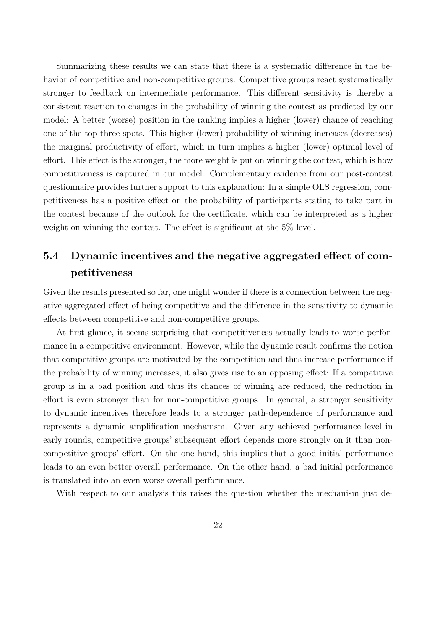Summarizing these results we can state that there is a systematic difference in the behavior of competitive and non-competitive groups. Competitive groups react systematically stronger to feedback on intermediate performance. This different sensitivity is thereby a consistent reaction to changes in the probability of winning the contest as predicted by our model: A better (worse) position in the ranking implies a higher (lower) chance of reaching one of the top three spots. This higher (lower) probability of winning increases (decreases) the marginal productivity of effort, which in turn implies a higher (lower) optimal level of effort. This effect is the stronger, the more weight is put on winning the contest, which is how competitiveness is captured in our model. Complementary evidence from our post-contest questionnaire provides further support to this explanation: In a simple OLS regression, competitiveness has a positive effect on the probability of participants stating to take part in the contest because of the outlook for the certificate, which can be interpreted as a higher weight on winning the contest. The effect is significant at the 5% level.

# **5.4 Dynamic incentives and the negative aggregated effect of competitiveness**

Given the results presented so far, one might wonder if there is a connection between the negative aggregated effect of being competitive and the difference in the sensitivity to dynamic effects between competitive and non-competitive groups.

At first glance, it seems surprising that competitiveness actually leads to worse performance in a competitive environment. However, while the dynamic result confirms the notion that competitive groups are motivated by the competition and thus increase performance if the probability of winning increases, it also gives rise to an opposing effect: If a competitive group is in a bad position and thus its chances of winning are reduced, the reduction in effort is even stronger than for non-competitive groups. In general, a stronger sensitivity to dynamic incentives therefore leads to a stronger path-dependence of performance and represents a dynamic amplification mechanism. Given any achieved performance level in early rounds, competitive groups' subsequent effort depends more strongly on it than noncompetitive groups' effort. On the one hand, this implies that a good initial performance leads to an even better overall performance. On the other hand, a bad initial performance is translated into an even worse overall performance.

With respect to our analysis this raises the question whether the mechanism just de-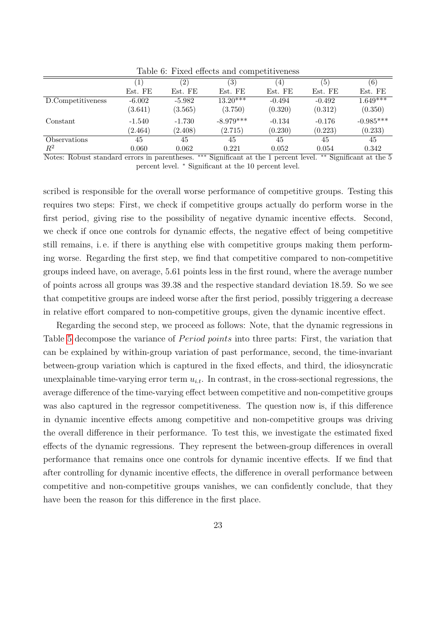|                        |          | $^{\prime}2)$ | $\left( 3\right)$ | $\overline{4}$ | (5)           | (6)         |
|------------------------|----------|---------------|-------------------|----------------|---------------|-------------|
|                        | Est. FE  | Est. FE       | Est. FE           | Est. FE        | Est. FE       | Est. FE     |
| D.Competitiveness      | $-6.002$ | $-5.982$      | $13.20***$        | $-0.494$       | $-0.492$      | $1.649***$  |
|                        | (3.641)  | (3.565)       | (3.750)           | (0.320)        | (0.312)       | (0.350)     |
| Constant               | $-1.540$ | $-1.730$      | $-8.979***$       | $-0.134$       | $-0.176$      | $-0.985***$ |
|                        | (2.464)  | (2.408)       | (2.715)           | (0.230)        | (0.223)       | (0.233)     |
| <b>Observations</b>    | 45       | 45            | 45                | 45             | 45            | 45          |
| $R^2$                  | 0.060    | 0.062         | 0.221             | 0.052          | 0.054         | 0.342       |
| $- -$<br>$\sim$ $\sim$ |          | . .           | $\sim$ $\sim$     | ____           | $1.11$ $\sim$ | $\sim$      |

<span id="page-22-0"></span>Table 6: Fixed effects and competitiveness

Notes: Robust standard errors in parentheses. ∗∗∗ Significant at the 1 percent level. ∗∗ Significant at the 5 percent level. <sup>∗</sup> Significant at the 10 percent level.

scribed is responsible for the overall worse performance of competitive groups. Testing this requires two steps: First, we check if competitive groups actually do perform worse in the first period, giving rise to the possibility of negative dynamic incentive effects. Second, we check if once one controls for dynamic effects, the negative effect of being competitive still remains, i. e. if there is anything else with competitive groups making them performing worse. Regarding the first step, we find that competitive compared to non-competitive groups indeed have, on average, 5*.*61 points less in the first round, where the average number of points across all groups was 39*.*38 and the respective standard deviation 18*.*59. So we see that competitive groups are indeed worse after the first period, possibly triggering a decrease in relative effort compared to non-competitive groups, given the dynamic incentive effect.

Regarding the second step, we proceed as follows: Note, that the dynamic regressions in Table [5](#page-19-0) decompose the variance of *Period points* into three parts: First, the variation that can be explained by within-group variation of past performance, second, the time-invariant between-group variation which is captured in the fixed effects, and third, the idiosyncratic unexplainable time-varying error term  $u_{i,t}$ . In contrast, in the cross-sectional regressions, the average difference of the time-varying effect between competitive and non-competitive groups was also captured in the regressor competitiveness. The question now is, if this difference in dynamic incentive effects among competitive and non-competitive groups was driving the overall difference in their performance. To test this, we investigate the estimated fixed effects of the dynamic regressions. They represent the between-group differences in overall performance that remains once one controls for dynamic incentive effects. If we find that after controlling for dynamic incentive effects, the difference in overall performance between competitive and non-competitive groups vanishes, we can confidently conclude, that they have been the reason for this difference in the first place.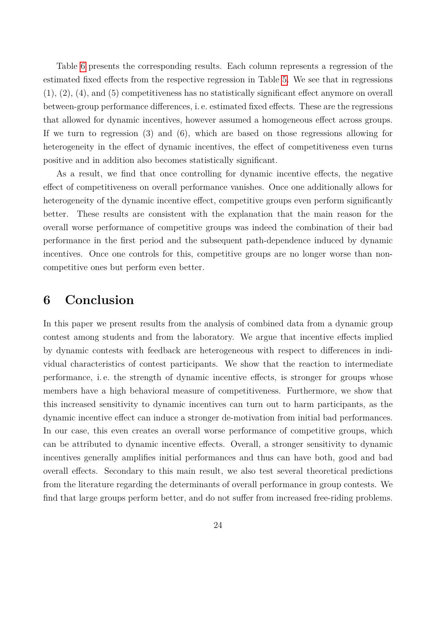Table [6](#page-22-0) presents the corresponding results. Each column represents a regression of the estimated fixed effects from the respective regression in Table [5.](#page-19-0) We see that in regressions (1), (2), (4), and (5) competitiveness has no statistically significant effect anymore on overall between-group performance differences, i. e. estimated fixed effects. These are the regressions that allowed for dynamic incentives, however assumed a homogeneous effect across groups. If we turn to regression (3) and (6), which are based on those regressions allowing for heterogeneity in the effect of dynamic incentives, the effect of competitiveness even turns positive and in addition also becomes statistically significant.

As a result, we find that once controlling for dynamic incentive effects, the negative effect of competitiveness on overall performance vanishes. Once one additionally allows for heterogeneity of the dynamic incentive effect, competitive groups even perform significantly better. These results are consistent with the explanation that the main reason for the overall worse performance of competitive groups was indeed the combination of their bad performance in the first period and the subsequent path-dependence induced by dynamic incentives. Once one controls for this, competitive groups are no longer worse than noncompetitive ones but perform even better.

# **6 Conclusion**

In this paper we present results from the analysis of combined data from a dynamic group contest among students and from the laboratory. We argue that incentive effects implied by dynamic contests with feedback are heterogeneous with respect to differences in individual characteristics of contest participants. We show that the reaction to intermediate performance, i. e. the strength of dynamic incentive effects, is stronger for groups whose members have a high behavioral measure of competitiveness. Furthermore, we show that this increased sensitivity to dynamic incentives can turn out to harm participants, as the dynamic incentive effect can induce a stronger de-motivation from initial bad performances. In our case, this even creates an overall worse performance of competitive groups, which can be attributed to dynamic incentive effects. Overall, a stronger sensitivity to dynamic incentives generally amplifies initial performances and thus can have both, good and bad overall effects. Secondary to this main result, we also test several theoretical predictions from the literature regarding the determinants of overall performance in group contests. We find that large groups perform better, and do not suffer from increased free-riding problems.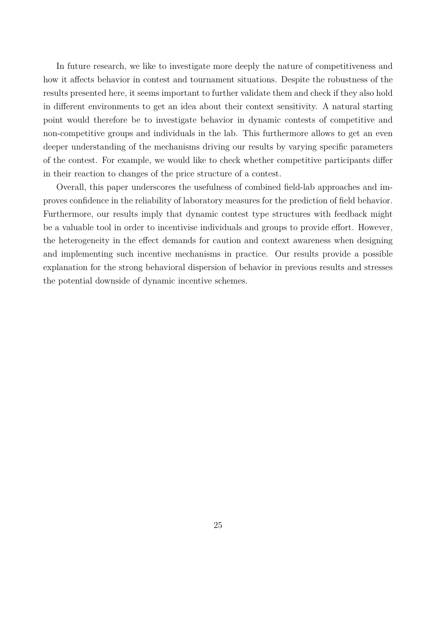In future research, we like to investigate more deeply the nature of competitiveness and how it affects behavior in contest and tournament situations. Despite the robustness of the results presented here, it seems important to further validate them and check if they also hold in different environments to get an idea about their context sensitivity. A natural starting point would therefore be to investigate behavior in dynamic contests of competitive and non-competitive groups and individuals in the lab. This furthermore allows to get an even deeper understanding of the mechanisms driving our results by varying specific parameters of the contest. For example, we would like to check whether competitive participants differ in their reaction to changes of the price structure of a contest.

Overall, this paper underscores the usefulness of combined field-lab approaches and improves confidence in the reliability of laboratory measures for the prediction of field behavior. Furthermore, our results imply that dynamic contest type structures with feedback might be a valuable tool in order to incentivise individuals and groups to provide effort. However, the heterogeneity in the effect demands for caution and context awareness when designing and implementing such incentive mechanisms in practice. Our results provide a possible explanation for the strong behavioral dispersion of behavior in previous results and stresses the potential downside of dynamic incentive schemes.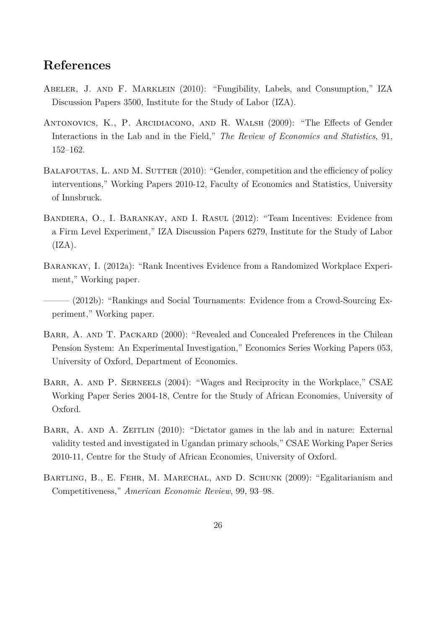# **References**

- <span id="page-25-5"></span>Abeler, J. and F. Marklein (2010): "Fungibility, Labels, and Consumption," IZA Discussion Papers 3500, Institute for the Study of Labor (IZA).
- <span id="page-25-4"></span>ANTONOVICS, K., P. ARCIDIACONO, AND R. WALSH (2009): "The Effects of Gender Interactions in the Lab and in the Field," *The Review of Economics and Statistics*, 91, 152–162.
- <span id="page-25-3"></span>BALAFOUTAS, L. AND M. SUTTER (2010): "Gender, competition and the efficiency of policy interventions," Working Papers 2010-12, Faculty of Economics and Statistics, University of Innsbruck.
- <span id="page-25-2"></span>Bandiera, O., I. Barankay, and I. Rasul (2012): "Team Incentives: Evidence from a Firm Level Experiment," IZA Discussion Papers 6279, Institute for the Study of Labor  $(IZA).$
- <span id="page-25-0"></span>Barankay, I. (2012a): "Rank Incentives Evidence from a Randomized Workplace Experiment," Working paper.
- <span id="page-25-1"></span>- (2012b): "Rankings and Social Tournaments: Evidence from a Crowd-Sourcing Experiment," Working paper.
- <span id="page-25-6"></span>BARR, A. AND T. PACKARD (2000): "Revealed and Concealed Preferences in the Chilean Pension System: An Experimental Investigation," Economics Series Working Papers 053, University of Oxford, Department of Economics.
- <span id="page-25-8"></span>BARR, A. AND P. SERNEELS (2004): "Wages and Reciprocity in the Workplace," CSAE Working Paper Series 2004-18, Centre for the Study of African Economies, University of Oxford.
- <span id="page-25-7"></span>BARR, A. AND A. ZEITLIN (2010): "Dictator games in the lab and in nature: External validity tested and investigated in Ugandan primary schools," CSAE Working Paper Series 2010-11, Centre for the Study of African Economies, University of Oxford.
- <span id="page-25-9"></span>BARTLING, B., E. FEHR, M. MARECHAL, AND D. SCHUNK (2009): "Egalitarianism and Competitiveness," *American Economic Review*, 99, 93–98.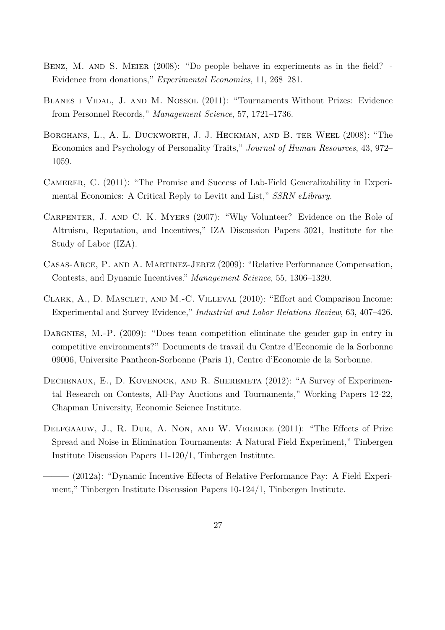- <span id="page-26-8"></span>BENZ, M. AND S. MEIER (2008): "Do people behave in experiments as in the field? -Evidence from donations," *Experimental Economics*, 11, 268–281.
- <span id="page-26-3"></span>Blanes i Vidal, J. and M. Nossol (2011): "Tournaments Without Prizes: Evidence from Personnel Records," *Management Science*, 57, 1721–1736.
- <span id="page-26-1"></span>Borghans, L., A. L. Duckworth, J. J. Heckman, and B. ter Weel (2008): "The Economics and Psychology of Personality Traits," *Journal of Human Resources*, 43, 972– 1059.
- <span id="page-26-2"></span>CAMERER, C. (2011): "The Promise and Success of Lab-Field Generalizability in Experimental Economics: A Critical Reply to Levitt and List," *SSRN eLibrary*.
- <span id="page-26-9"></span>Carpenter, J. and C. K. Myers (2007): "Why Volunteer? Evidence on the Role of Altruism, Reputation, and Incentives," IZA Discussion Papers 3021, Institute for the Study of Labor (IZA).
- <span id="page-26-5"></span>Casas-Arce, P. and A. Martinez-Jerez (2009): "Relative Performance Compensation, Contests, and Dynamic Incentives." *Management Science*, 55, 1306–1320.
- <span id="page-26-10"></span>Clark, A., D. Masclet, and M.-C. Villeval (2010): "Effort and Comparison Income: Experimental and Survey Evidence," *Industrial and Labor Relations Review*, 63, 407–426.
- <span id="page-26-7"></span>DARGNIES, M.-P. (2009): "Does team competition eliminate the gender gap in entry in competitive environments?" Documents de travail du Centre d'Economie de la Sorbonne 09006, Universite Pantheon-Sorbonne (Paris 1), Centre d'Economie de la Sorbonne.
- <span id="page-26-0"></span>Dechenaux, E., D. Kovenock, and R. Sheremeta (2012): "A Survey of Experimental Research on Contests, All-Pay Auctions and Tournaments," Working Papers 12-22, Chapman University, Economic Science Institute.
- <span id="page-26-4"></span>DELFGAAUW, J., R. DUR, A. NON, AND W. VERBEKE (2011): "The Effects of Prize Spread and Noise in Elimination Tournaments: A Natural Field Experiment," Tinbergen Institute Discussion Papers 11-120/1, Tinbergen Institute.
- <span id="page-26-6"></span>- (2012a): "Dynamic Incentive Effects of Relative Performance Pay: A Field Experiment," Tinbergen Institute Discussion Papers 10-124/1, Tinbergen Institute.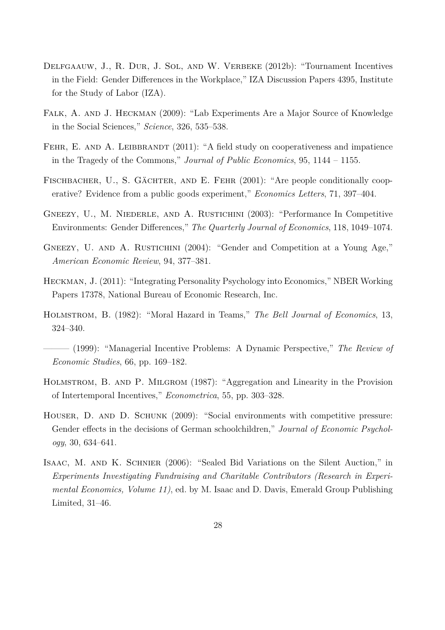- <span id="page-27-5"></span>DELFGAAUW, J., R. DUR, J. SOL, AND W. VERBEKE (2012b): "Tournament Incentives in the Field: Gender Differences in the Workplace," IZA Discussion Papers 4395, Institute for the Study of Labor (IZA).
- <span id="page-27-9"></span>Falk, A. and J. Heckman (2009): "Lab Experiments Are a Major Source of Knowledge in the Social Sciences," *Science*, 326, 535–538.
- <span id="page-27-11"></span>FEHR, E. AND A. LEIBBRANDT (2011): "A field study on cooperativeness and impatience in the Tragedy of the Commons," *Journal of Public Economics*, 95, 1144 – 1155.
- <span id="page-27-3"></span>FISCHBACHER, U., S. GÄCHTER, AND E. FEHR  $(2001)$ : "Are people conditionally cooperative? Evidence from a public goods experiment," *Economics Letters*, 71, 397–404.
- <span id="page-27-6"></span>GNEEZY, U., M. NIEDERLE, AND A. RUSTICHINI (2003): "Performance In Competitive Environments: Gender Differences," *The Quarterly Journal of Economics*, 118, 1049–1074.
- <span id="page-27-7"></span>GNEEZY, U. AND A. RUSTICHINI (2004): "Gender and Competition at a Young Age," *American Economic Review*, 94, 377–381.
- <span id="page-27-4"></span>Heckman, J. (2011): "Integrating Personality Psychology into Economics," NBER Working Papers 17378, National Bureau of Economic Research, Inc.
- <span id="page-27-2"></span>Holmstrom, B. (1982): "Moral Hazard in Teams," *The Bell Journal of Economics*, 13, 324–340.
- <span id="page-27-0"></span>——— (1999): "Managerial Incentive Problems: A Dynamic Perspective," *The Review of Economic Studies*, 66, pp. 169–182.
- <span id="page-27-1"></span>Holmstrom, B. and P. Milgrom (1987): "Aggregation and Linearity in the Provision of Intertemporal Incentives," *Econometrica*, 55, pp. 303–328.
- <span id="page-27-8"></span>Houser, D. and D. Schunk (2009): "Social environments with competitive pressure: Gender effects in the decisions of German schoolchildren," *Journal of Economic Psychology*, 30, 634–641.
- <span id="page-27-10"></span>Isaac, M. and K. Schnier (2006): "Sealed Bid Variations on the Silent Auction," in *Experiments Investigating Fundraising and Charitable Contributors (Research in Experimental Economics, Volume 11)*, ed. by M. Isaac and D. Davis, Emerald Group Publishing Limited, 31–46.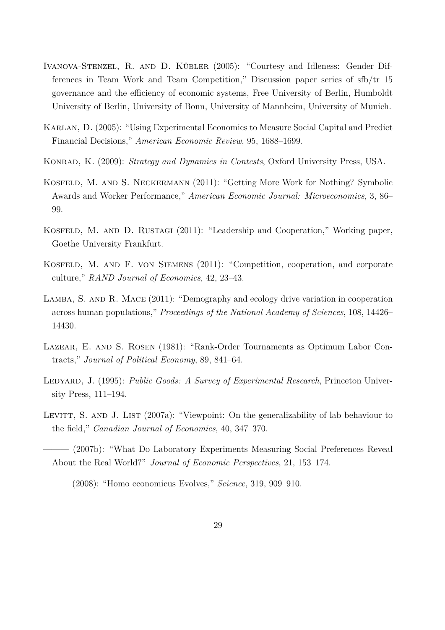- <span id="page-28-3"></span>IVANOVA-STENZEL, R. AND D. KÜBLER (2005): "Courtesy and Idleness: Gender Differences in Team Work and Team Competition," Discussion paper series of sfb/tr 15 governance and the efficiency of economic systems, Free University of Berlin, Humboldt University of Berlin, University of Bonn, University of Mannheim, University of Munich.
- <span id="page-28-7"></span>Karlan, D. (2005): "Using Experimental Economics to Measure Social Capital and Predict Financial Decisions," *American Economic Review*, 95, 1688–1699.
- <span id="page-28-1"></span>Konrad, K. (2009): *Strategy and Dynamics in Contests*, Oxford University Press, USA.
- <span id="page-28-10"></span>Kosfeld, M. and S. Neckermann (2011): "Getting More Work for Nothing? Symbolic Awards and Worker Performance," *American Economic Journal: Microeconomics*, 3, 86– 99.
- <span id="page-28-9"></span>KOSFELD, M. AND D. RUSTAGI (2011): "Leadership and Cooperation," Working paper, Goethe University Frankfurt.
- <span id="page-28-2"></span>Kosfeld, M. and F. von Siemens (2011): "Competition, cooperation, and corporate culture," *RAND Journal of Economics*, 42, 23–43.
- <span id="page-28-8"></span>LAMBA, S. AND R. MACE (2011): "Demography and ecology drive variation in cooperation across human populations," *Proceedings of the National Academy of Sciences*, 108, 14426– 14430.
- <span id="page-28-0"></span>Lazear, E. and S. Rosen (1981): "Rank-Order Tournaments as Optimum Labor Contracts," *Journal of Political Economy*, 89, 841–64.
- <span id="page-28-11"></span>LEDYARD, J. (1995): *Public Goods: A Survey of Experimental Research*, Princeton University Press, 111–194.
- <span id="page-28-4"></span>LEVITT, S. AND J. LIST (2007a): "Viewpoint: On the generalizability of lab behaviour to the field," *Canadian Journal of Economics*, 40, 347–370.
- <span id="page-28-5"></span>——— (2007b): "What Do Laboratory Experiments Measuring Social Preferences Reveal About the Real World?" *Journal of Economic Perspectives*, 21, 153–174.

<span id="page-28-6"></span><sup>——— (2008): &</sup>quot;Homo economicus Evolves," *Science*, 319, 909–910.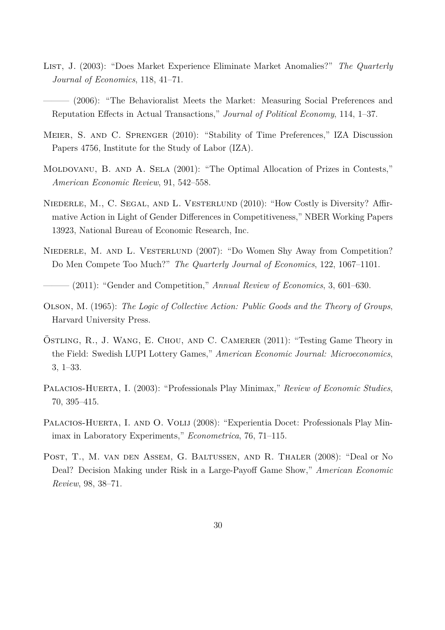- <span id="page-29-5"></span><span id="page-29-4"></span>List, J. (2003): "Does Market Experience Eliminate Market Anomalies?" *The Quarterly Journal of Economics*, 118, 41–71.
	- ——— (2006): "The Behavioralist Meets the Market: Measuring Social Preferences and Reputation Effects in Actual Transactions," *Journal of Political Economy*, 114, 1–37.
- <span id="page-29-10"></span>Meier, S. and C. Sprenger (2010): "Stability of Time Preferences," IZA Discussion Papers 4756, Institute for the Study of Labor (IZA).
- <span id="page-29-2"></span>MOLDOVANU, B. AND A. SELA (2001): "The Optimal Allocation of Prizes in Contests," *American Economic Review*, 91, 542–558.
- <span id="page-29-1"></span>NIEDERLE, M., C. SEGAL, AND L. VESTERLUND (2010): "How Costly is Diversity? Affirmative Action in Light of Gender Differences in Competitiveness," NBER Working Papers 13923, National Bureau of Economic Research, Inc.
- <span id="page-29-0"></span>NIEDERLE, M. AND L. VESTERLUND (2007): "Do Women Shy Away from Competition? Do Men Compete Too Much?" *The Quarterly Journal of Economics*, 122, 1067–1101.
- <span id="page-29-3"></span>——— (2011): "Gender and Competition," *Annual Review of Economics*, 3, 601–630.
- <span id="page-29-11"></span>Olson, M. (1965): *The Logic of Collective Action: Public Goods and the Theory of Groups*, Harvard University Press.
- <span id="page-29-6"></span> $\overline{O}$ STLING, R., J. WANG, E. CHOU, AND C. CAMERER  $(2011)$ : "Testing Game Theory in the Field: Swedish LUPI Lottery Games," *American Economic Journal: Microeconomics*, 3, 1–33.
- <span id="page-29-9"></span>Palacios-Huerta, I. (2003): "Professionals Play Minimax," *Review of Economic Studies*, 70, 395–415.
- <span id="page-29-8"></span>PALACIOS-HUERTA, I. AND O. VOLIJ (2008): "Experientia Docet: Professionals Play Minimax in Laboratory Experiments," *Econometrica*, 76, 71–115.
- <span id="page-29-7"></span>Post, T., M. van den Assem, G. Baltussen, and R. Thaler (2008): "Deal or No Deal? Decision Making under Risk in a Large-Payoff Game Show," *American Economic Review*, 98, 38–71.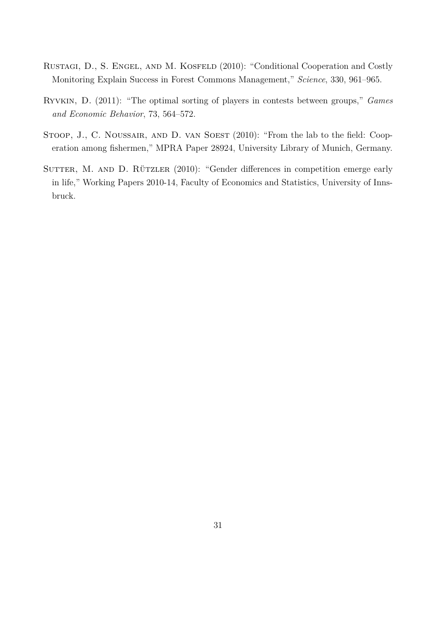- <span id="page-30-0"></span>RUSTAGI, D., S. ENGEL, AND M. KOSFELD (2010): "Conditional Cooperation and Costly Monitoring Explain Success in Forest Commons Management," *Science*, 330, 961–965.
- <span id="page-30-1"></span>Ryvkin, D. (2011): "The optimal sorting of players in contests between groups," *Games and Economic Behavior*, 73, 564–572.
- <span id="page-30-3"></span>STOOP, J., C. NOUSSAIR, AND D. VAN SOEST (2010): "From the lab to the field: Cooperation among fishermen," MPRA Paper 28924, University Library of Munich, Germany.
- <span id="page-30-2"></span>SUTTER, M. AND D. RÜTZLER (2010): "Gender differences in competition emerge early in life," Working Papers 2010-14, Faculty of Economics and Statistics, University of Innsbruck.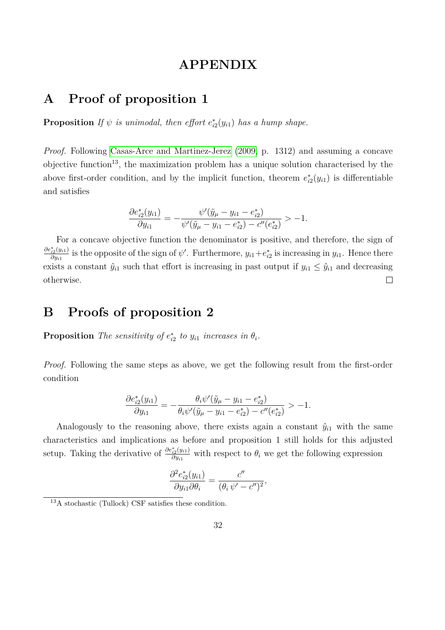# **APPENDIX**

# **A Proof of proposition 1**

**Proposition** If  $\psi$  is unimodal, then effort  $e_{i2}^*(y_{i1})$  has a hump shape.

*Proof.* Following [Casas-Arce and Martinez-Jerez](#page-26-5) [\(2009,](#page-26-5) p. 1312) and assuming a concave objective function<sup>13</sup>, the maximization problem has a unique solution characterised by the above first-order condition, and by the implicit function, theorem  $e_{i2}^*(y_{i1})$  is differentiable and satisfies

$$
\frac{\partial e_{i2}^*(y_{i1})}{\partial y_{i1}} = -\frac{\psi'(\tilde{y}_\mu - y_{i1} - e_{i2}^*)}{\psi'(\tilde{y}_\mu - y_{i1} - e_{i2}^*) - c''(e_{i2}^*)} > -1.
$$

For a concave objective function the denominator is positive, and therefore, the sign of *∂e*<sup>∗</sup> *i*2 (*yi*1)  $\frac{\partial}{\partial y_{i1}}$  is the opposite of the sign of  $\psi'$ . Furthermore,  $y_{i1}+e_{i2}^*$  is increasing in  $y_{i1}$ . Hence there exists a constant  $\hat{y}_{i1}$  such that effort is increasing in past output if  $y_{i1} \leq \hat{y}_{i1}$  and decreasing  $\Box$ otherwise.

# **B Proofs of proposition 2**

**Proposition** *The sensitivity of*  $e_{i2}^*$  *to*  $y_{i1}$  *increases in*  $\theta_i$ *.* 

*Proof.* Following the same steps as above, we get the following result from the first-order condition

$$
\frac{\partial e_{i2}^*(y_{i1})}{\partial y_{i1}} = -\frac{\theta_i \psi'(\tilde{y}_\mu - y_{i1} - e_{i2}^*)}{\theta_i \psi'(\tilde{y}_\mu - y_{i1} - e_{i2}^*) - c''(e_{i2}^*)} > -1.
$$

Analogously to the reasoning above, there exists again a constant  $\hat{y}_{i1}$  with the same characteristics and implications as before and proposition 1 still holds for this adjusted setup. Taking the derivative of  $\frac{\partial e_{i2}^*(y_{i1})}{\partial y_{i2}}$  $\frac{\partial^2 \mathcal{L}(\mathcal{Y}^{i})}{\partial y_{i1}}$  with respect to  $\theta_i$  we get the following expression

$$
\frac{\partial^2 e_{i2}^*(y_{i1})}{\partial y_{i1}\partial \theta_i} = \frac{c''}{(\theta_i \psi' - c'')^2},
$$

 $13A$  stochastic (Tullock) CSF satisfies these condition.